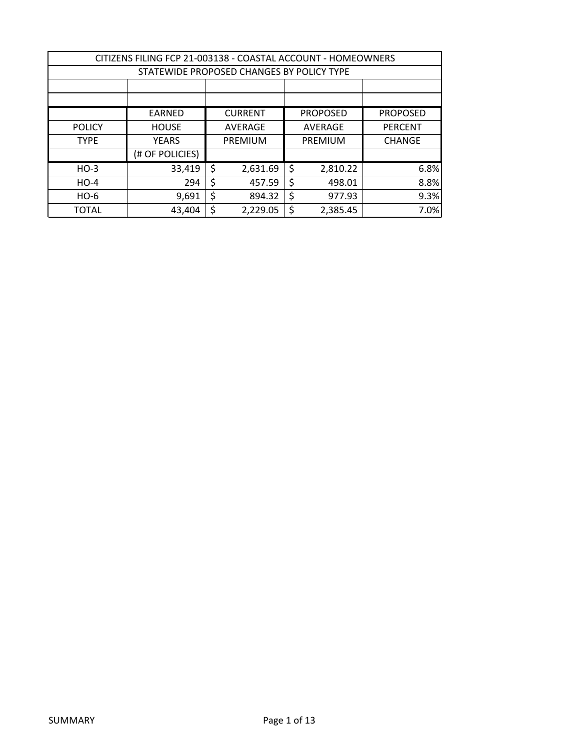| CITIZENS FILING FCP 21-003138 - COASTAL ACCOUNT - HOMEOWNERS |                                                                       |    |                |    |                |                |  |  |
|--------------------------------------------------------------|-----------------------------------------------------------------------|----|----------------|----|----------------|----------------|--|--|
|                                                              | STATEWIDE PROPOSED CHANGES BY POLICY TYPE                             |    |                |    |                |                |  |  |
|                                                              |                                                                       |    |                |    |                |                |  |  |
|                                                              |                                                                       |    |                |    |                |                |  |  |
|                                                              | <b>CURRENT</b><br><b>PROPOSED</b><br><b>PROPOSED</b><br><b>EARNED</b> |    |                |    |                |                |  |  |
| <b>POLICY</b>                                                | <b>HOUSE</b>                                                          |    | <b>AVERAGE</b> |    | <b>AVERAGE</b> | <b>PERCENT</b> |  |  |
| <b>TYPE</b>                                                  | <b>YEARS</b>                                                          |    | PREMIUM        |    | PREMIUM        | <b>CHANGE</b>  |  |  |
|                                                              | (# OF POLICIES)                                                       |    |                |    |                |                |  |  |
| $HO-3$                                                       | 33,419                                                                | \$ | 2,631.69       | \$ | 2,810.22       | 6.8%           |  |  |
| $HO-4$                                                       | 294                                                                   | \$ | 457.59         | \$ | 498.01         | 8.8%           |  |  |
| $HO-6$                                                       | 9,691                                                                 | \$ | 894.32         | \$ | 977.93         | 9.3%           |  |  |
| <b>TOTAL</b>                                                 | 43,404                                                                |    | 2,229.05       | \$ | 2,385.45       | 7.0%           |  |  |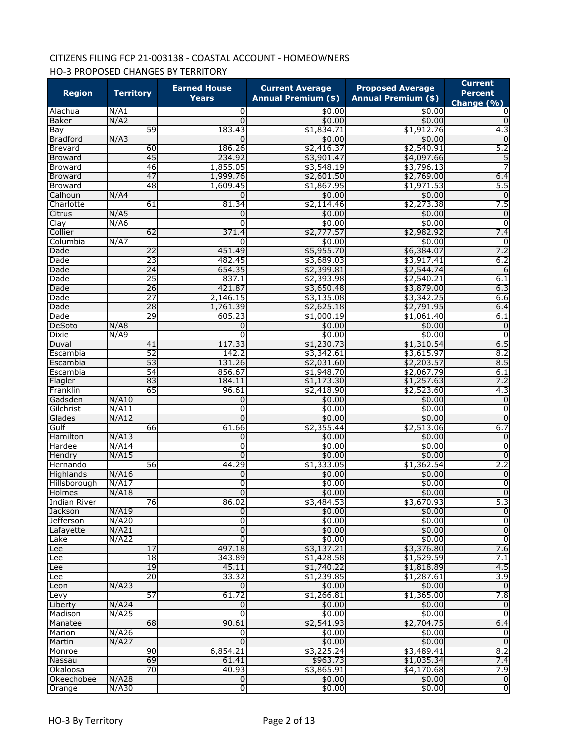# CITIZENS FILING FCP 21-003138 - COASTAL ACCOUNT - HOMEOWNERS HO-3 PROPOSED CHANGES BY TERRITORY

| <b>Region</b>          | <b>Territory</b>      | <b>Earned House</b>     | <b>Current Average</b>     | <b>Proposed Average</b><br><b>Annual Premium (\$)</b> | <b>Current</b><br><b>Percent</b> |
|------------------------|-----------------------|-------------------------|----------------------------|-------------------------------------------------------|----------------------------------|
|                        |                       | <b>Years</b>            | <b>Annual Premium (\$)</b> |                                                       | Change $(\% )$                   |
| Alachua                | N/A1                  | 0                       | \$0.00                     | \$0.00                                                | 0                                |
| <b>Baker</b>           | N/A2                  | 0                       | \$0.00                     | \$0.00                                                | $\Omega$                         |
| Bay                    | 59                    | 183.43                  | \$1,834.71                 | \$1,912.76                                            | 4.3                              |
| <b>Bradford</b>        | N/A3                  | 0                       | \$0.00                     | \$0.00                                                | $\Omega$                         |
| Brevard                | 60                    | 186.26                  | \$2,416.37                 | \$2,540.91                                            | 5.2                              |
| <b>Broward</b>         | 45                    | 234.92                  | \$3,901.47                 | \$4,097.66                                            | 5                                |
| <b>Broward</b>         | 46                    | 1,855.05                | \$3,548.19                 | \$3,796.13                                            |                                  |
| <b>Broward</b>         | 47                    | 1,999.76                | \$2,601.50                 | \$2,769.00                                            | 6.4                              |
| <b>Broward</b>         | 48                    | 1,609.45                | \$1,867.95                 | \$1,971.53                                            | 5.5                              |
| Calhoun                | N/A4                  | 0                       | \$0.00                     | \$0.00                                                | $\Omega$                         |
| Charlotte              | 61                    | 81.34                   | \$2,114.46                 | \$2,273.38                                            | 7.5                              |
| Citrus                 | N/AS                  | 0                       | \$0.00                     | \$0.00                                                | $\mathbf 0$                      |
| Clay                   | N/A6                  | 0                       | \$0.00                     | \$0.00                                                | $\overline{0}$                   |
| Collier                | 62                    | 371.4                   | \$2,777.57                 | \$2,982.92                                            | 7.4                              |
| Columbia               | N/A7                  | 0                       | \$0.00                     | \$0.00                                                | 0                                |
| Dade                   | $\overline{22}$       | 451.49                  | \$5,955.70                 | \$6,384.07                                            | 7.2                              |
| Dade                   | 23                    | 482.45                  | \$3,689.03                 | \$3,917.41                                            | 6.2                              |
| Dade                   | $\overline{24}$       | 654.35                  | \$2,399.81                 | \$2,544.74                                            | 6                                |
| Dade                   | $\overline{25}$       | 837.1                   | \$2,393.98                 | \$2,540.21                                            | 6.1                              |
| Dade                   | 26                    | 421.87                  | \$3,650.48                 | \$3,879.00                                            | 6.3                              |
| Dade                   | 27                    | 2,146.15                | \$3,135.08                 | \$3,342.25                                            | 6.6                              |
| Dade                   | 28                    | 1,761.39                | \$2,625.18                 | \$2,791.95                                            | 6.4                              |
| Dade                   | 29                    | 605.23                  | \$1,000.19                 | \$1,061.40                                            | 6.1                              |
| DeSoto                 | N/AB                  | 0                       | \$0.00                     | \$0.00                                                | $\overline{0}$                   |
| Dixie                  | N/49                  | 0                       | \$0.00                     | \$0.00                                                | $\overline{0}$                   |
| Duval                  | 41                    | 117.33                  | \$1,230.73                 | \$1,310.54                                            | 6.5                              |
| Escambia               | 52                    | 142.2                   | \$3,342.61                 | \$3,615.97                                            | 8.2                              |
| Escambia               | 53                    | 131.26                  | \$2,031.60                 | \$2,203.57                                            | 8.5                              |
| Escambia               | 54                    | 856.67                  | \$1,948.70                 | \$2,067.79                                            | 6.1                              |
| Flagler                | 83                    | 184.11                  | \$1,173.30                 | \$1,257.63                                            | 7.2                              |
| Franklin               | 65                    | 96.61                   | \$2,418.90                 | \$2,523.60                                            | 4.3                              |
| Gadsden                | N/A10                 | 0                       | \$0.00                     | \$0.00                                                | $\overline{0}$                   |
| Gilchrist              | N/A11                 | 0                       | \$0.00                     | \$0.00                                                | $\overline{0}$                   |
| Glades                 | N/A12                 | $\Omega$                | \$0.00                     | \$0.00                                                | $\overline{0}$                   |
| Gulf                   | 66                    | 61.66                   | \$2,355.44                 | \$2,513.06                                            | 6.7                              |
| Hamilton               | N/A13                 | 0                       | \$0.00                     | \$0.00                                                | 0                                |
| Hardee                 | N/A14                 | 0                       | \$0.00                     | \$0.00                                                | $\overline{0}$                   |
| Hendry                 | N/A15                 | 0                       | \$0.00                     | \$0.00                                                | $\overline{0}$                   |
| Hernando               | 56                    | 44.29                   | \$1,333.05                 | \$1,362.54                                            | 2.2                              |
| Highlands              | N/A16                 | 0                       | \$0.00                     | \$0.00                                                | $\overline{0}$                   |
| Hillsborough           | N/A17                 | 0                       | \$0.00                     | \$0.00                                                | $\overline{0}$                   |
| Holmes                 | N/A18                 | O                       | \$0.00                     | \$0.00                                                | $\overline{0}$                   |
| Indian River           | 76                    | 86.02                   | \$3,484.53                 | \$3,670.93                                            | 5.3                              |
| Jackson                | N/A19                 | O                       | \$0.00                     | \$0.00                                                | $\overline{0}$                   |
| Jefferson              | N/A20                 | 0                       | \$0.00                     | \$0.00                                                | $\overline{0}$                   |
| Lafayette              | N/A21                 | 0                       | \$0.00                     | \$0.00                                                | $\overline{0}$<br>ō              |
| Lake                   | N/A22                 | 0                       | \$0.00                     | \$0.00                                                |                                  |
| Lee                    | 17<br>$\overline{18}$ | 497.18                  | \$3,137.21                 | \$3,376.80                                            | 7.6                              |
| Lee                    |                       | 343.89                  | \$1,428.58<br>\$1,740.22   | \$1,529.59                                            | 7.1<br>4.5                       |
| Lee                    | 19<br>20              | 45.11                   |                            | \$1,818.89                                            | 3.9                              |
| Lee                    | N/A23                 | 33.32<br>O              | \$1,239.85<br>\$0.00       | \$1,287.61<br>\$0.00                                  | ō                                |
| Leon                   |                       |                         |                            |                                                       |                                  |
| Levy                   | 57<br>N/A24           | 61.72<br>0              | \$1,266.81<br>\$0.00       | \$1,365.00<br>\$0.00                                  | 7.8<br>$\overline{0}$            |
| Liberty                |                       | o                       |                            |                                                       | $\overline{0}$                   |
| Madison                | N/A25<br>68           | 90.61                   | \$0.00                     | \$0.00                                                |                                  |
| Manatee                | N/A26                 |                         | \$2,541.93<br>\$0.00       | \$2,704.75<br>\$0.00                                  | 6.4<br>ō                         |
| Marion                 | N/A27                 | 0<br>$\mathbf 0$        |                            | \$0.00                                                | $\overline{0}$                   |
| Martin                 | 90                    | 6,854.21                | \$0.00<br>\$3,225.24       |                                                       |                                  |
| Monroe                 | 69                    | 61.41                   |                            | \$3,489.41                                            | 8.2<br>7.4                       |
| Nassau                 |                       |                         | \$963.73                   | \$1,035.34                                            | 7.9                              |
| Okaloosa<br>Okeechobee | 70<br>N/A28           | 40.93<br>$\overline{0}$ | \$3,865.91<br>\$0.00       | \$4,170.68<br>\$0.00                                  | $\overline{0}$                   |
| Orange                 | $N/$ A30              | ō                       | \$0.00                     | \$0.00                                                | $\overline{0}$                   |
|                        |                       |                         |                            |                                                       |                                  |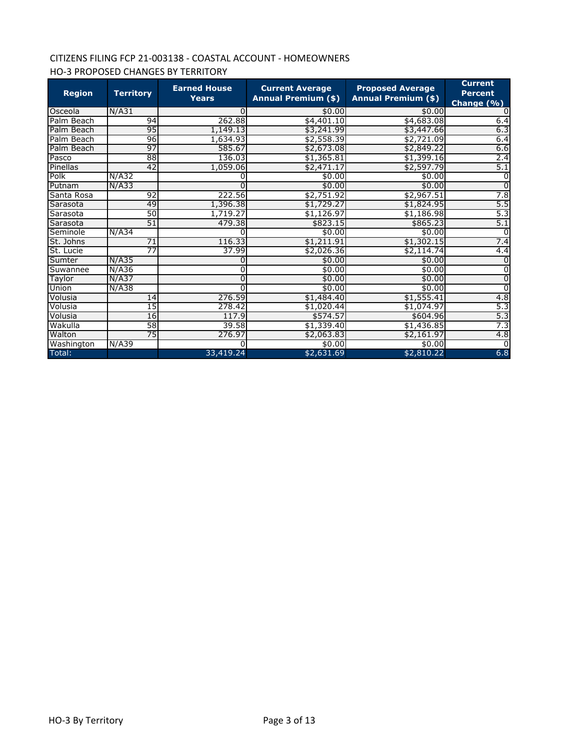# CITIZENS FILING FCP 21-003138 - COASTAL ACCOUNT - HOMEOWNERS HO-3 PROPOSED CHANGES BY TERRITORY

| <b>Region</b> | <b>Territory</b> | <b>Earned House</b><br><b>Years</b> | <b>Current Average</b><br><b>Annual Premium (\$)</b> | <b>Proposed Average</b><br><b>Annual Premium (\$)</b> | <b>Current</b><br><b>Percent</b><br>Change (%) |
|---------------|------------------|-------------------------------------|------------------------------------------------------|-------------------------------------------------------|------------------------------------------------|
| Osceola       | N/A31            | 0                                   | \$0.00                                               | \$0.00                                                |                                                |
| Palm Beach    | 94               | 262.88                              | \$4,401.10                                           | \$4,683.08                                            | 6.4                                            |
| Palm Beach    | 95               | 1,149.13                            | \$3,241.99                                           | \$3,447.66                                            | 6.3                                            |
| Palm Beach    | 96               | 1,634.93                            | \$2,558.39                                           | \$2,721.09                                            | 6.4                                            |
| Palm Beach    | 97               | 585.67                              | \$2,673.08                                           | \$2,849.22                                            | 6.6                                            |
| Pasco         | 88               | 136.03                              | \$1,365.81                                           | \$1,399.16                                            | 2.4                                            |
| Pinellas      | 42               | 1,059.06                            | \$2,471.17                                           | \$2,597.79                                            | 5.1                                            |
| Polk          | N/A32            |                                     | \$0.00                                               | \$0.00                                                | $\Omega$                                       |
| Putnam        | N/A33            | 0                                   | \$0.00                                               | \$0.00                                                | $\Omega$                                       |
| Santa Rosa    | $\overline{92}$  | 222.56                              | \$2,751.92                                           | \$2,967.51                                            | 7.8                                            |
| Sarasota      | 49               | 1,396.38                            | \$1,729.27                                           | \$1,824.95                                            | 5.5                                            |
| Sarasota      | 50               | 1,719.27                            | \$1,126.97                                           | \$1,186.98                                            | 5.3                                            |
| Sarasota      | 51               | 479.38                              | \$823.15                                             | \$865.23                                              | 5.1                                            |
| Seminole      | N/A34            | ŋ                                   | \$0.00                                               | \$0.00                                                | $\Omega$                                       |
| St. Johns     | $\overline{71}$  | 116.33                              | \$1,211.91                                           | \$1,302.15                                            | 7.4                                            |
| St. Lucie     | 77               | 37.99                               | \$2,026.36                                           | \$2,114.74                                            | 4.4                                            |
| Sumter        | N/A35            | 0                                   | \$0.00                                               | \$0.00                                                |                                                |
| Suwannee      | N/A36            | 0                                   | \$0.00                                               | \$0.00                                                |                                                |
| Taylor        | N/A37            | 0                                   | \$0.00                                               | \$0.00                                                |                                                |
| Union         | N/A38            |                                     | \$0.00                                               | \$0.00                                                | $\Omega$                                       |
| Volusia       | 14               | 276.59                              | \$1,484.40                                           | \$1,555.41                                            | 4.8                                            |
| Volusia       | 15               | 278.42                              | \$1,020.44                                           | \$1,074.97                                            | 5.3                                            |
| Volusia       | 16               | 117.9                               | \$574.57                                             | \$604.96                                              | 5.3                                            |
| Wakulla       | 58               | 39.58                               | \$1,339.40                                           | \$1,436.85                                            | 7.3                                            |
| Walton        | 75               | 276.97                              | \$2,063.83                                           | \$2,161.97                                            | 4.8                                            |
| Washington    | N/A39            | ŋ                                   | \$0.00                                               | \$0.00                                                | $\Omega$                                       |
| Total:        |                  | 33,419.24                           | \$2,631.69                                           | \$2,810.22                                            | 6.8                                            |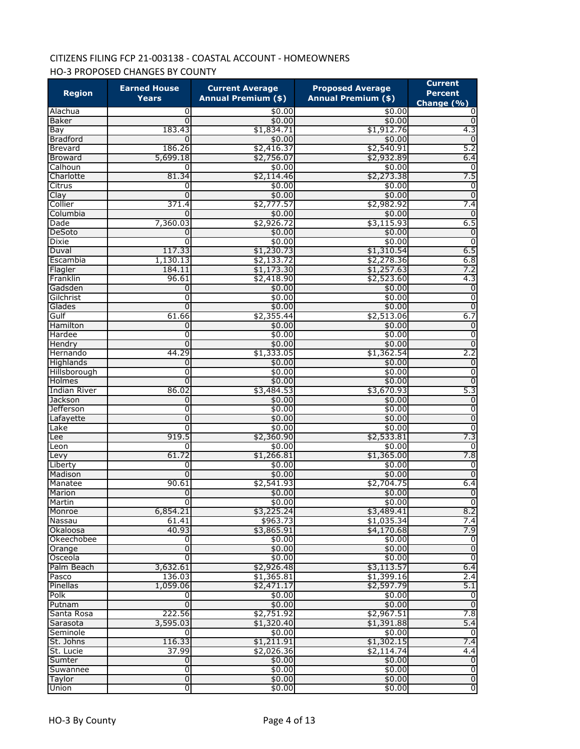# CITIZENS FILING FCP 21-003138 - COASTAL ACCOUNT - HOMEOWNERS HO-3 PROPOSED CHANGES BY COUNTY

| <b>Region</b>       | <b>Earned House</b><br><b>Years</b> | <b>Current Average</b><br><b>Annual Premium (\$)</b> | <b>Proposed Average</b><br><b>Annual Premium (\$)</b> | <b>Current</b><br><b>Percent</b> |
|---------------------|-------------------------------------|------------------------------------------------------|-------------------------------------------------------|----------------------------------|
| Alachua             | 0                                   | \$0.00                                               | \$0.00                                                | Change $(\frac{9}{6})$<br>0      |
| Baker               | 0                                   | \$0.00                                               | \$0.00                                                | $\mathbf 0$                      |
| Bay                 | 183.43                              | \$1,834.71                                           | \$1,912.76                                            | 4.3                              |
| <b>Bradford</b>     | $\Omega$                            | \$0.00                                               | \$0.00                                                | 0                                |
| <b>Brevard</b>      | 186.26                              | \$2,416.37                                           | \$2,540.91                                            | 5.2                              |
| <b>Broward</b>      | 5,699.18                            | \$2,756.07                                           | \$2,932.89                                            | 6.4                              |
| Calhoun             | 0                                   | \$0.00                                               | \$0.00                                                | 0                                |
| Charlotte           | 81.34                               | \$2,114.46                                           | \$2,273.38                                            | 7.5                              |
| Citrus              | 0                                   | \$0.00                                               | \$0.00                                                | 0                                |
| Clay                | 0                                   | \$0.00                                               | \$0.00                                                | 0                                |
| Collier             | 371.4                               | \$2,777.57                                           | \$2,982.92                                            | 7.4                              |
| Columbia            | <sup>0</sup>                        | \$0.00                                               | \$0.00                                                | $\mathbf 0$                      |
| Dade                | 7,360.03                            | \$2,926.72                                           | \$3,115.93                                            | 6.5                              |
| DeSoto              | 0                                   | \$0.00                                               | \$0.00                                                | 0                                |
| <b>Dixie</b>        | 0                                   | \$0.00                                               | \$0.00                                                | $\overline{0}$                   |
| Duval               | 117.33                              | \$1,230.73                                           | \$1,310.54                                            | 6.5                              |
| Escambia            | 1,130.13                            | \$2,133.72                                           | \$2,278.36                                            | 6.8                              |
| Flagler             | 184.11                              | \$1,173.30                                           | \$1,257.63                                            | 7.2                              |
| Franklin            | 96.61                               | \$2,418.90                                           | \$2,523.60                                            | 4.3                              |
| Gadsden             | 0                                   | \$0.00                                               | \$0.00                                                | $\mathbf 0$                      |
| Gilchrist           | 0                                   | \$0.00                                               | \$0.00                                                | $\overline{0}$                   |
| Glades              | 0                                   | \$0.00                                               | \$0.00                                                | $\overline{0}$                   |
| Gulf                | 61.66                               | \$2,355.44                                           | \$2,513.06                                            | 6.7                              |
| Hamilton            | 0                                   | \$0.00                                               | \$0.00                                                | $\overline{0}$                   |
| Hardee              | 0                                   | \$0.00                                               | \$0.00                                                | 0                                |
| Hendry              | $\Omega$                            | \$0.00                                               | \$0.00                                                | $\overline{0}$                   |
| Hernando            | 44.29                               | \$1,333.05                                           | \$1,362.54                                            | 2.2                              |
| Highlands           | $\mathbf{0}$                        | \$0.00                                               | \$0.00                                                | $\overline{0}$                   |
| Hillsborough        | 0                                   | \$0.00                                               | \$0.00                                                | $\overline{0}$                   |
| Holmes              | 0                                   | \$0.00                                               | \$0.00                                                | $\overline{0}$                   |
| <b>Indian River</b> | 86.02                               | \$3,484.53                                           | \$3,670.93                                            | 5.3                              |
| Jackson             | $\mathbf{0}$                        | \$0.00                                               | \$0.00                                                | $\overline{0}$                   |
| <b>Jefferson</b>    | 0                                   | \$0.00                                               | \$0.00                                                | 0                                |
| Lafayette           | 0                                   | \$0.00                                               | \$0.00                                                | 0                                |
| Lake                | 0                                   | \$0.00                                               | \$0.00                                                | $\overline{0}$                   |
| Lee                 | 919.5                               | \$2,360.90                                           | \$2,533.81                                            | 7.3                              |
| Leon                | 0                                   | \$0.00                                               | \$0.00                                                | 0                                |
| Levy                | 61.72                               | \$1,266.81                                           | \$1,365.00                                            | 7.8                              |
| Liberty             | 0                                   | \$0.00                                               | \$0.00                                                | $\overline{0}$                   |
| Madison             | $\Omega$                            | \$0.00                                               | \$0.00                                                | $\overline{0}$                   |
| Manatee             | 90.61                               | \$2,541.93                                           | \$2,704.75                                            | 6.4                              |
| Marion              | 0                                   | \$0.00                                               | \$0.00                                                | $\overline{0}$                   |
| Martin              | О                                   | \$0.00                                               | \$0.00                                                | $\overline{0}$                   |
| Monroe              | 6,854.21                            | \$3,225.24                                           | \$3,489.41                                            | 8.2                              |
| Nassau              | 61.41                               | \$963.73                                             | \$1,035.34                                            | 7.4                              |
| Okaloosa            | 40.93                               | \$3,865.91                                           | \$4,170.68                                            | 7.9                              |
| Okeechobee          | 0                                   | \$0.00                                               | \$0.00                                                | 0                                |
| Orange              | $\overline{0}$                      | \$0.00                                               | \$0.00                                                | $\overline{0}$                   |
| Osceola             | $\overline{0}$                      | \$0.00                                               | \$0.00                                                | $\overline{0}$                   |
| Palm Beach          | 3,632.61                            | \$2,926.48                                           | \$3,113.57                                            | 6.4                              |
| Pasco               | 136.03                              | \$1,365.81                                           | \$1,399.16                                            | 2.4                              |
| Pinellas            | 1,059.06                            | \$2,471.17                                           | \$2,597.79                                            | 5.1                              |
| Polk                | 0                                   | \$0.00                                               | \$0.00                                                | 0                                |
| Putnam              | $\Omega$                            | \$0.00                                               | \$0.00                                                | $\overline{0}$                   |
| Santa Rosa          | 222.56                              | \$2,751.92                                           | \$2,967.51                                            | 7.8                              |
| Sarasota            | 3,595.03                            | \$1,320.40                                           | \$1,391.88                                            | 5.4                              |
| Seminole            | $\Omega$                            | \$0.00                                               | \$0.00                                                | $\mathbf 0$                      |
| St. Johns           | 116.33                              | \$1,211.91                                           | \$1,302.15                                            | 7.4                              |
| St. Lucie           | 37.99                               | \$2,026.36                                           | \$2,114.74                                            | 4.4                              |
| Sumter              | $\overline{0}$                      | \$0.00                                               | \$0.00                                                | o                                |
| Suwannee            | ō                                   | \$0.00                                               | \$0.00                                                | o                                |
| Taylor              | $\overline{0}$                      | \$0.00                                               | \$0.00                                                | o                                |
| Union               | $\overline{0}$                      | \$0.00                                               | \$0.00                                                | $\overline{0}$                   |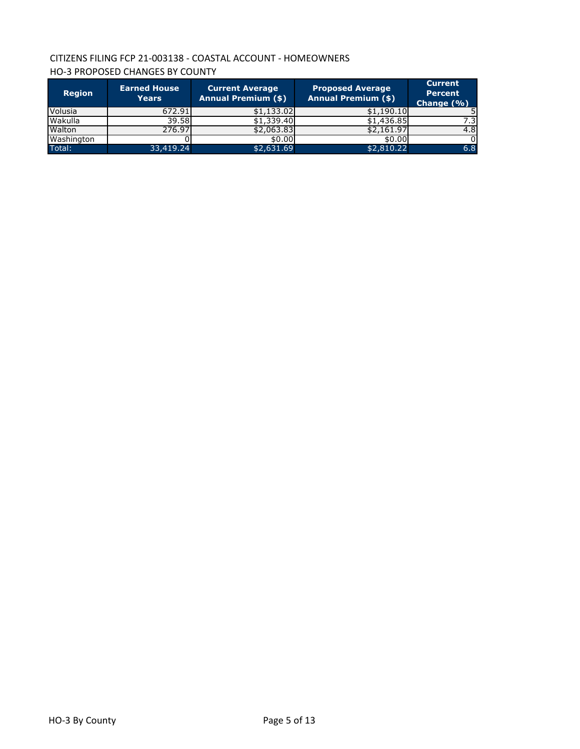# CITIZENS FILING FCP 21-003138 - COASTAL ACCOUNT - HOMEOWNERS HO-3 PROPOSED CHANGES BY COUNTY

| <b>Region</b> | <b>Earned House</b><br><b>Years</b> | <b>Current Average</b><br><b>Annual Premium (\$)</b> | <b>Proposed Average</b><br><b>Annual Premium (\$)</b> | <b>Current</b><br><b>Percent</b><br>Change (%) |
|---------------|-------------------------------------|------------------------------------------------------|-------------------------------------------------------|------------------------------------------------|
| Volusia       | 672.91                              | \$1,133.02                                           | \$1,190.10                                            |                                                |
| Wakulla       | 39.58                               | \$1,339.40                                           | $$1,436.\overline{85}$                                | $7.\overline{3}$                               |
| Walton        | 276.97                              | \$2,063.83                                           | \$2,161.97                                            | 4.8                                            |
| Washington    |                                     | \$0.00                                               | \$0.00                                                | O.                                             |
| Total:        | 33,419.24                           | \$2,631.69                                           | \$2,810.22                                            | 6.8                                            |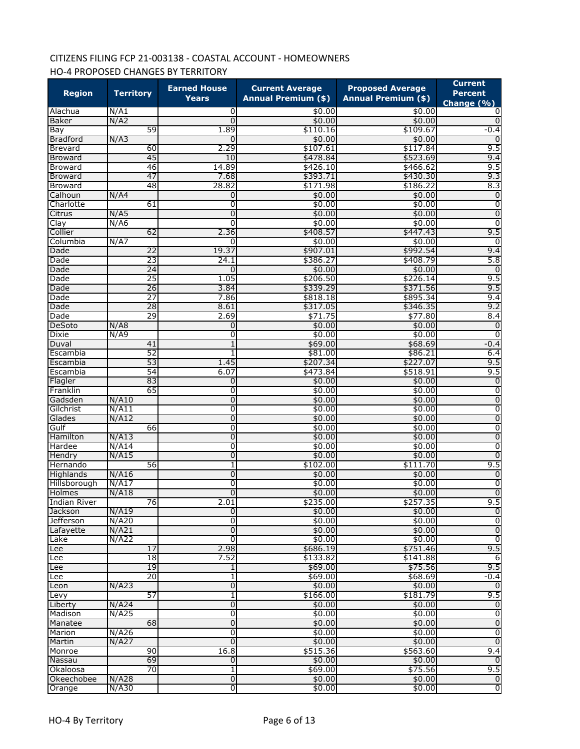# CITIZENS FILING FCP 21-003138 - COASTAL ACCOUNT - HOMEOWNERS HO-4 PROPOSED CHANGES BY TERRITORY

| <b>Region</b>          | <b>Territory</b> | <b>Earned House</b><br><b>Years</b> | <b>Current Average</b><br><b>Annual Premium (\$)</b> | <b>Proposed Average</b><br><b>Annual Premium (\$)</b> | <b>Current</b><br><b>Percent</b><br>Change $(\% )$ |
|------------------------|------------------|-------------------------------------|------------------------------------------------------|-------------------------------------------------------|----------------------------------------------------|
| Alachua                | N/A1             | 0                                   | \$0.00                                               | \$0.00                                                | 0                                                  |
| <b>Baker</b>           | N/A2             | $\mathbf 0$                         | \$0.00                                               | \$0.00                                                | $\Omega$                                           |
| Bay                    | 59               | 1.89                                | \$110.16                                             | \$109.67                                              | $-0.4$                                             |
| <b>Bradford</b>        | N/A3             | 0                                   | \$0.00                                               | \$0.00                                                | 0                                                  |
| <b>Brevard</b>         | 60               | 2.29                                | \$107.61                                             | \$117.84                                              | 9.5                                                |
| <b>Broward</b>         | 45               | 10                                  | \$478.84                                             | \$523.69                                              | 9.4                                                |
| <b>Broward</b>         | 46               | 14.89                               | \$426.10                                             | \$466.62                                              | 9.5                                                |
| Broward                | 47               | 7.68                                | \$393.71                                             | \$430.30                                              | 9.3                                                |
| <b>Broward</b>         | 48               | 28.82                               | \$171.98                                             | \$186.22                                              | 8.3                                                |
| Calhoun                | N/A4             | 0                                   | \$0.00                                               | \$0.00                                                | $\overline{0}$                                     |
| Charlotte              | 61               | 0                                   | \$0.00                                               | \$0.00                                                | $\overline{0}$                                     |
| Citrus                 | N/AS             | $\mathbf 0$                         | \$0.00                                               | \$0.00                                                | $\overline{0}$                                     |
| Clay                   | N/A6             | 0                                   | \$0.00                                               | \$0.00                                                | $\overline{0}$                                     |
| Collier                | 62               | 2.36                                | \$408.57                                             | \$447.43                                              | 9.5                                                |
| Columbia               | N/A7             | 0                                   | \$0.00                                               | \$0.00                                                | 0                                                  |
| Dade                   | 22               | 19.37                               | \$907.01                                             | \$992.54                                              | 9.4                                                |
| Dade                   | 23               | 24.1                                | \$386.27                                             | \$408.79                                              | 5.8                                                |
| Dade                   | 24               | 0                                   | \$0.00                                               | \$0.00                                                | $\Omega$                                           |
| Dade                   | $\overline{25}$  | 1.05                                | \$206.50                                             | \$226.14                                              | 9.5                                                |
| Dade                   | 26               | 3.84                                | \$339.29                                             | \$371.56                                              | 9.5                                                |
| Dade                   | 27               | 7.86                                | \$818.18                                             | \$895.34                                              | 9.4                                                |
| Dade                   | 28<br>29         | 8.61<br>2.69                        | \$317.05<br>\$71.75                                  | \$346.35                                              | 9.2<br>8.4                                         |
| Dade                   |                  | $\mathbf 0$                         | \$0.00                                               | \$77.80<br>\$0.00                                     | $\mathbf 0$                                        |
| DeSoto                 | N/AB<br>N/AB     | 0                                   |                                                      |                                                       | 0                                                  |
| Dixie<br>Duval         | 41               | 1                                   | \$0.00<br>\$69.00                                    | \$0.00<br>\$68.69                                     | $-0.4$                                             |
| Escambia               | 52               | 1                                   | \$81.00                                              | \$86.21                                               | 6.4                                                |
| Escambia               | 53               | 1.45                                | \$207.34                                             | \$227.07                                              | 9.5                                                |
| Escambia               | 54               | 6.07                                | \$473.84                                             | \$518.91                                              | 9.5                                                |
| Flagler                | 83               | 0                                   | \$0.00                                               | \$0.00                                                | $\mathbf 0$                                        |
| Franklin               | 65               | 0                                   | \$0.00                                               | \$0.00                                                | $\overline{0}$                                     |
| Gadsden                | N/A10            | $\mathbf 0$                         | \$0.00                                               | \$0.00                                                | $\overline{0}$                                     |
| Gilchrist              | N/A11            | $\overline{0}$                      | \$0.00                                               | \$0.00                                                | $\overline{0}$                                     |
| Glades                 | N/A12            | 0                                   | \$0.00                                               | \$0.00                                                | $\overline{0}$                                     |
| Gulf                   | 66               | 0                                   | \$0.00                                               | \$0.00                                                | $\overline{0}$                                     |
| Hamilton               | N/A13            | 0                                   | \$0.00                                               | \$0.00                                                | $\overline{0}$                                     |
| Hardee                 | N/A14            | $\overline{0}$                      | \$0.00                                               | \$0.00                                                | $\overline{0}$                                     |
| Hendry                 | N/A15            | $\overline{0}$                      | \$0.00                                               | \$0.00                                                | $\overline{0}$                                     |
| Hernando               | 56               | 1                                   | \$102.00                                             | \$111.70                                              | 9.5                                                |
| Highlands              | N/A16            | $\overline{0}$                      | \$0.00                                               | \$0.00                                                | $\overline{0}$                                     |
| Hillsborough           | N/A17            | 0                                   | \$0.00                                               | \$0.00                                                | $\overline{0}$                                     |
| Holmes                 | N/A18            | 0                                   | \$0.00                                               | \$0.00                                                | $\overline{0}$                                     |
| <b>Indian River</b>    | 76               | 2.01                                | \$235.00                                             | \$257.35                                              | 9.5                                                |
| <b>Jackson</b>         | N/A19            | 0                                   | \$0.00                                               | \$0.00                                                | $\overline{0}$                                     |
| Jefferson              | N/A20            | 0                                   | \$0.00                                               | \$0.00                                                | $\overline{\mathbf{0}}$                            |
| Lafayette              | N/A21            | $\overline{0}$                      | \$0.00                                               | \$0.00                                                | $\boldsymbol{0}$                                   |
| Lake                   | N/A22            | $\overline{0}$                      | \$0.00                                               | \$0.00                                                | $\overline{0}$                                     |
| Lee                    | 17               | 2.98                                | \$686.19                                             | \$751.46                                              | 9.5                                                |
| Lee                    | 18               | 7.52                                | \$133.82                                             | \$141.88                                              | 6                                                  |
| Lee                    | 19               | 1                                   | \$69.00                                              | \$75.56                                               | 9.5                                                |
| Lee                    | 20               | 1                                   | \$69.00                                              | \$68.69                                               | $-0.4$                                             |
| Leon                   | N/A23            | $\overline{0}$                      | \$0.00                                               | \$0.00                                                | $\overline{0}$                                     |
| Levy                   | 57               | 1                                   | \$166.00                                             | \$181.79                                              | 9.5                                                |
| Liberty                | N/A24            | $\overline{0}$                      | \$0.00                                               | \$0.00                                                | o                                                  |
| Madison                | N/A25            | $\overline{0}$                      | \$0.00                                               | \$0.00                                                | $\overline{0}$                                     |
| Manatee                | 68               | $\overline{0}$                      | \$0.00                                               | \$0.00                                                | $\overline{0}$                                     |
| Marion                 | N/A26            | 0                                   | \$0.00                                               | \$0.00                                                | $\overline{0}$                                     |
| Martin                 | N/A27            | $\overline{0}$                      | \$0.00                                               | \$0.00                                                | $\overline{0}$                                     |
| Monroe                 | 90               | 16.8                                | \$515.36                                             | \$563.60                                              | 9.4<br>$\overline{0}$                              |
| Nassau                 | 69<br>70         | $\overline{0}$                      | \$0.00                                               | \$0.00<br>\$75.56                                     | 9.5                                                |
| Okaloosa<br>Okeechobee | N/A28            | 1<br>$\overline{0}$                 | \$69.00<br>\$0.00                                    | \$0.00                                                | $\overline{0}$                                     |
| Orange                 | $N/$ A30         | O                                   | \$0.00                                               | \$0.00                                                | $\overline{\mathbf{0}}$                            |
|                        |                  |                                     |                                                      |                                                       |                                                    |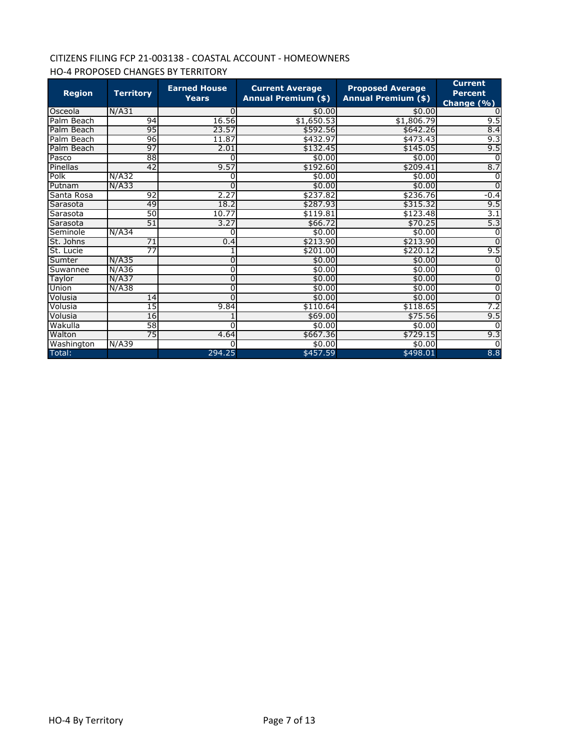# CITIZENS FILING FCP 21-003138 - COASTAL ACCOUNT - HOMEOWNERS HO-4 PROPOSED CHANGES BY TERRITORY

| <b>Region</b> | <b>Territory</b> | <b>Earned House</b><br><b>Years</b> | <b>Current Average</b><br><b>Annual Premium (\$)</b> | <b>Proposed Average</b><br><b>Annual Premium (\$)</b> | <b>Current</b><br><b>Percent</b><br>Change (%) |
|---------------|------------------|-------------------------------------|------------------------------------------------------|-------------------------------------------------------|------------------------------------------------|
| Osceola       | N/A31            | 0                                   | \$0.00                                               | \$0.00                                                |                                                |
| Palm Beach    | 94               | 16.56                               | \$1,650.53                                           | \$1,806.79                                            | 9.5                                            |
| Palm Beach    | 95               | 23.57                               | \$592.56                                             | \$642.26                                              | 8.4                                            |
| Palm Beach    | 96               | 11.87                               | \$432.97                                             | \$473.43                                              | 9.3                                            |
| Palm Beach    | 97               | 2.01                                | \$132.45                                             | \$145.05                                              | 9.5                                            |
| Pasco         | 88               | O                                   | \$0.00                                               | \$0.00                                                | $\Omega$                                       |
| Pinellas      | 42               | 9.57                                | \$192.60                                             | \$209.41                                              | 8.7                                            |
| Polk          | N/A32            | 0                                   | \$0.00                                               | \$0.00                                                | $\Omega$                                       |
| Putnam        | N/A33            | $\Omega$                            | \$0.00                                               | \$0.00                                                | $\Omega$                                       |
| Santa Rosa    | 92               | 2.27                                | \$237.82                                             | \$236.76                                              | $-0.4$                                         |
| Sarasota      | 49               | 18.2                                | \$287.93                                             | \$315.32                                              | 9.5                                            |
| Sarasota      | $\overline{50}$  | 10.77                               | \$119.81                                             | \$123.48                                              | 3.1                                            |
| Sarasota      | 51               | 3.27                                | \$66.72                                              | \$70.25                                               | 5.3                                            |
| Seminole      | N/A34            | 0                                   | \$0.00                                               | \$0.00                                                | <sup>0</sup>                                   |
| St. Johns     | $\overline{71}$  | 0.4                                 | \$213.90                                             | \$213.90                                              | $\Omega$                                       |
| St. Lucie     | $\overline{77}$  |                                     | \$201.00                                             | \$220.12                                              | 9.5                                            |
| Sumter        | N/A35            | 0                                   | \$0.00                                               | \$0.00                                                |                                                |
| Suwannee      | N/A36            | 0                                   | \$0.00                                               | \$0.00                                                | 0                                              |
| Taylor        | $N/$ A37         | 0                                   | \$0.00                                               | \$0.00                                                | 0                                              |
| Union         | N/A38            | 0                                   | \$0.00                                               | \$0.00                                                | 0                                              |
| Volusia       | 14               | $\Omega$                            | \$0.00                                               | \$0.00                                                | $\mathbf 0$                                    |
| Volusia       | $\overline{15}$  | 9.84                                | \$110.64                                             | \$118.65                                              | 7.2                                            |
| Volusia       | 16               |                                     | \$69.00                                              | \$75.56                                               | 9.5                                            |
| Wakulla       | 58               | 0                                   | \$0.00                                               | \$0.00                                                |                                                |
| Walton        | 75               | 4.64                                | \$667.36                                             | \$729.15                                              | 9.3                                            |
| Washington    | N/A39            | O                                   | \$0.00                                               | \$0.00                                                | $\Omega$                                       |
| Total:        |                  | 294.25                              | \$457.59                                             | \$498.01                                              | 8.8                                            |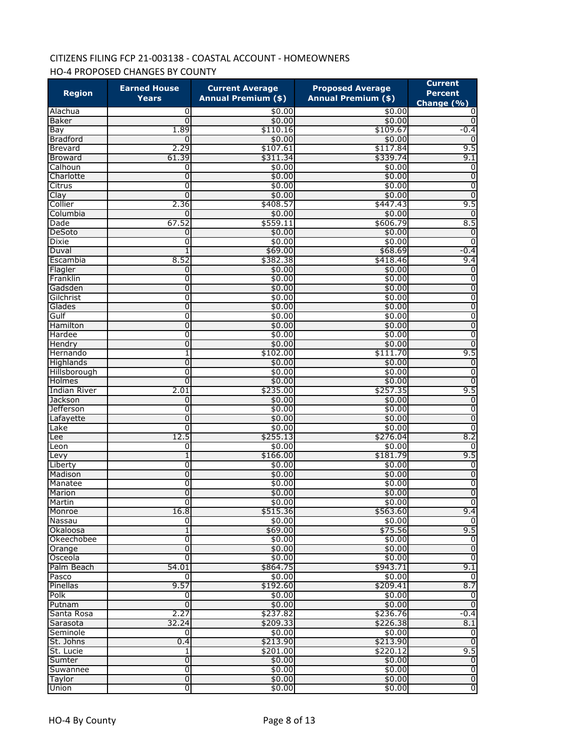# CITIZENS FILING FCP 21-003138 - COASTAL ACCOUNT - HOMEOWNERS HO-4 PROPOSED CHANGES BY COUNTY

| <b>Region</b>          | <b>Earned House</b><br>Years | <b>Current Average</b><br><b>Annual Premium (\$)</b> | <b>Proposed Average</b><br><b>Annual Premium (\$)</b> | <b>Current</b><br><b>Percent</b><br>Change $(\frac{9}{6})$ |
|------------------------|------------------------------|------------------------------------------------------|-------------------------------------------------------|------------------------------------------------------------|
| Alachua                | 0                            | \$0.00                                               | \$0.00                                                | 0                                                          |
| <b>Baker</b>           | 0                            | \$0.00                                               | \$0.00                                                | 0                                                          |
| Bay                    | 1.89                         | \$110.16                                             | \$109.67                                              | $-0.4$                                                     |
| <b>Bradford</b>        | $\Omega$                     | \$0.00                                               | \$0.00                                                | 0                                                          |
| <b>Brevard</b>         | 2.29                         | \$107.61                                             | \$117.84                                              | 9.5                                                        |
| <b>Broward</b>         | 61.39                        | \$311.34                                             | \$339.74                                              | 9.1                                                        |
| Calhoun                | 0                            | \$0.00                                               | \$0.00                                                | $\overline{0}$                                             |
| Charlotte              | 0                            | \$0.00                                               | \$0.00                                                | 0                                                          |
| Citrus                 | 0                            | \$0.00                                               | \$0.00                                                | 0                                                          |
| Clay                   | 0                            | \$0.00                                               | \$0.00                                                | 0                                                          |
| Collier                | 2.36                         | \$408.57                                             | \$447.43                                              | 9.5                                                        |
| Columbia               | 0                            | \$0.00                                               | \$0.00                                                | 0                                                          |
| Dade                   | 67.52                        | \$559.11                                             | \$606.79                                              | 8.5                                                        |
| DeSoto                 | 0                            | \$0.00                                               | \$0.00                                                | 0                                                          |
| Dixie                  | 0                            | \$0.00                                               | \$0.00                                                | $\overline{0}$                                             |
| Duval                  | 1<br>8.52                    | \$69.00                                              | \$68.69                                               | $-0.4$                                                     |
| Escambia               | 0                            | \$382.38<br>\$0.00                                   | \$418.46<br>\$0.00                                    | 9.4<br>$\mathbf 0$                                         |
| Flagler<br>Franklin    | 0                            | \$0.00                                               | \$0.00                                                | 0                                                          |
| Gadsden                | 0                            | \$0.00                                               | \$0.00                                                | $\mathbf 0$                                                |
| Gilchrist              | 0                            | \$0.00                                               | \$0.00                                                | $\overline{0}$                                             |
| Glades                 | 0                            | \$0.00                                               | \$0.00                                                | 0                                                          |
| Gulf                   | 0                            | \$0.00                                               | \$0.00                                                | $\overline{0}$                                             |
| Hamilton               | 0                            | \$0.00                                               | \$0.00                                                | 0                                                          |
| Hardee                 | 0                            | \$0.00                                               | \$0.00                                                | 0                                                          |
| Hendry                 | 0                            | \$0.00                                               | \$0.00                                                | $\overline{0}$                                             |
| Hernando               | 1                            | \$102.00                                             | \$111.70                                              | 9.5                                                        |
| Highlands              | $\overline{0}$               | \$0.00                                               | \$0.00                                                | 0                                                          |
| Hillsborough           | 0                            | \$0.00                                               | \$0.00                                                | $\overline{0}$                                             |
| Holmes                 | 0                            | \$0.00                                               | \$0.00                                                | $\boldsymbol{0}$                                           |
| <b>Indian River</b>    | 2.01                         | \$235.00                                             | \$257.35                                              | 9.5                                                        |
| Jackson                | 0                            | \$0.00                                               | \$0.00                                                | $\overline{0}$                                             |
| <b>Jefferson</b>       | 0                            | \$0.00                                               | \$0.00                                                | 0                                                          |
| Lafayette              | 0                            | \$0.00                                               | \$0.00                                                | 0                                                          |
| Lake                   | 0                            | \$0.00                                               | \$0.00                                                | 0                                                          |
| Lee                    | 12.5                         | \$255.13                                             | \$276.04                                              | 8.2                                                        |
| Leon                   | 0                            | \$0.00                                               | \$0.00                                                | 0                                                          |
| Levy                   | 1                            | \$166.00                                             | \$181.79                                              | 9.5                                                        |
| Liberty                | 0                            | \$0.00                                               | \$0.00                                                | 0                                                          |
| Madison                | 0                            | \$0.00                                               | \$0.00                                                | $\overline{0}$                                             |
| Manatee                | 0                            | \$0.00                                               | \$0.00                                                | 0                                                          |
| Marion                 | Ō                            | \$0.00                                               | \$0.00                                                | 0                                                          |
| Martin                 | $\Omega$                     | \$0.00                                               | \$0.00                                                | $\Omega$                                                   |
| Monroe                 | 16.8                         | \$515.36                                             | \$563.60                                              | 9.4                                                        |
| Nassau                 | 0<br>1                       | \$0.00                                               | \$0.00<br>\$75.56                                     | ō<br>9.5                                                   |
| Okaloosa<br>Okeechobee | ō                            | \$69.00<br>\$0.00                                    | \$0.00                                                | 0                                                          |
|                        | 0                            | \$0.00                                               | \$0.00                                                | $\overline{0}$                                             |
| Orange<br>Osceola      | 0                            | \$0.00                                               | \$0.00                                                | ō                                                          |
| Palm Beach             | 54.01                        | \$864.75                                             | \$943.71                                              | 9.1                                                        |
| Pasco                  | 0                            | \$0.00                                               | \$0.00                                                | o                                                          |
| Pinellas               | 9.57                         | \$192.60                                             | \$209.41                                              | 8.7                                                        |
| Polk                   | 0                            | \$0.00                                               | \$0.00                                                | 0                                                          |
| Putnam                 | $\Omega$                     | \$0.00                                               | \$0.00                                                | Ō                                                          |
| Santa Rosa             | 2.27                         | \$237.82                                             | \$236.76                                              | $-0.4$                                                     |
| Sarasota               | 32.24                        | \$209.33                                             | \$226.38                                              | 8.1                                                        |
| Seminole               | 0                            | \$0.00                                               | \$0.00                                                | 0                                                          |
| St. Johns              | 0.4                          | \$213.90                                             | \$213.90                                              | Ō                                                          |
| St. Lucie              | 1                            | \$201.00                                             | \$220.12                                              | 9.5                                                        |
| Sumter                 | $\overline{0}$               | \$0.00                                               | \$0.00                                                | $\mathbf 0$                                                |
| Suwannee               | ō                            | \$0.00                                               | \$0.00                                                | O                                                          |
| Taylor                 | $\overline{0}$               | \$0.00                                               | \$0.00                                                | o                                                          |
| Union                  | $\overline{0}$               | \$0.00                                               | \$0.00                                                | $\overline{0}$                                             |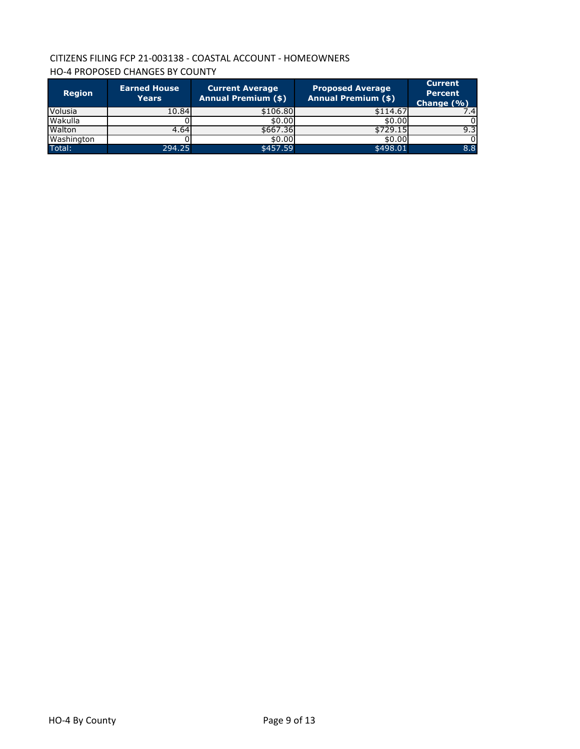# CITIZENS FILING FCP 21-003138 - COASTAL ACCOUNT - HOMEOWNERS HO-4 PROPOSED CHANGES BY COUNTY

| <b>Region</b> | <b>Earned House</b><br><b>Years</b> | <b>Current Average</b><br><b>Annual Premium (\$)</b> | <b>Proposed Average</b><br><b>Annual Premium (\$)</b> | <b>Current</b><br><b>Percent</b><br>Change $(% )$ |
|---------------|-------------------------------------|------------------------------------------------------|-------------------------------------------------------|---------------------------------------------------|
| Volusia       | 10.84                               | \$106.80                                             | \$114.67                                              | 7.4I                                              |
| Wakulla       |                                     | \$0.00                                               | \$0.00                                                |                                                   |
| Walton        | 4.64                                | \$667.36                                             | \$729.15                                              | 9.3                                               |
| Washington    |                                     | \$0.00                                               | \$0.00                                                |                                                   |
| Total:        | 294.25                              | \$457.59                                             | \$498.01                                              | 8.8                                               |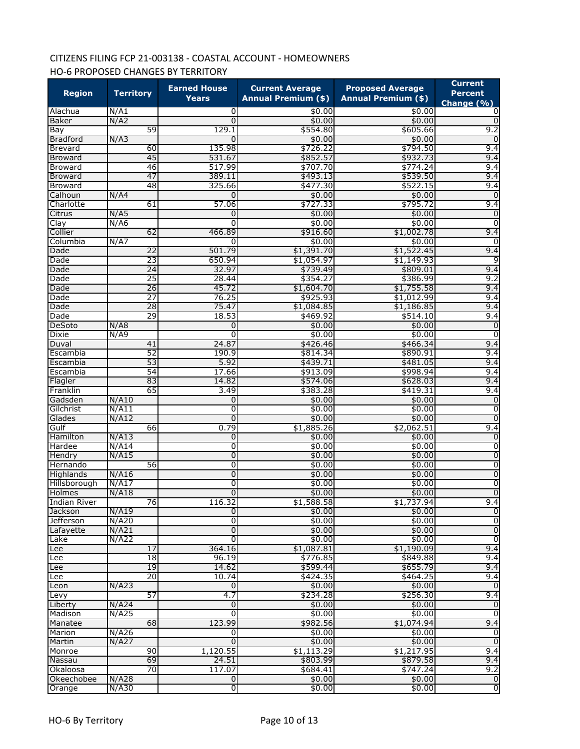# CITIZENS FILING FCP 21-003138 - COASTAL ACCOUNT - HOMEOWNERS HO-6 PROPOSED CHANGES BY TERRITORY

| <b>Region</b>       | <b>Territory</b> | <b>Earned House</b><br>Years | <b>Current Average</b><br><b>Annual Premium (\$)</b> | <b>Proposed Average</b><br><b>Annual Premium (\$)</b> | <b>Current</b><br><b>Percent</b> |
|---------------------|------------------|------------------------------|------------------------------------------------------|-------------------------------------------------------|----------------------------------|
| Alachua             | N/A1             | 0                            | \$0.00                                               | \$0.00                                                | Change $(\% )$<br>0              |
| <b>Baker</b>        | N/A2             | $\Omega$                     | \$0.00                                               | \$0.00                                                | 0                                |
| Bay                 | 59               | 129.1                        | \$554.80                                             | \$605.66                                              | 9.2                              |
| <b>Bradford</b>     | N/A3             | 0                            | \$0.00                                               | \$0.00                                                | 0                                |
| <b>Brevard</b>      | 60               | 135.98                       | \$726.22                                             | \$794.50                                              | 9.4                              |
| <b>Broward</b>      | 45               | 531.67                       | \$852.57                                             | \$932.73                                              | 9.4                              |
| <b>Broward</b>      | 46               | 517.99                       | \$707.70                                             | \$774.24                                              | 9.4                              |
| <b>Broward</b>      | 47               | 389.11                       | \$493.13                                             | \$539.50                                              | 9.4                              |
| <b>Broward</b>      | 48               | 325.66                       | \$477.30                                             | \$522.15                                              | 9.4                              |
| Calhoun             | N/A4             | 0                            | \$0.00                                               | \$0.00                                                | $\Omega$                         |
| Charlotte           | 61               | 57.06                        | \$727.33                                             | \$795.72                                              | 9.4                              |
| Citrus              | N/AS             | 0                            | \$0.00                                               | \$0.00                                                | $\mathbf 0$                      |
| Clay                | N/A6             | 0                            | \$0.00                                               | \$0.00                                                | 0                                |
| Collier             | 62               | 466.89                       | \$916.60                                             | \$1,002.78                                            | 9.4                              |
| Columbia            | N/A7             | 0                            | \$0.00                                               | \$0.00                                                | 0                                |
| Dade                | 22               | 501.79                       | \$1,391.70                                           | \$1,522.45                                            | 9.4                              |
| Dade                | 23               | 650.94                       | \$1,054.97                                           | \$1,149.93                                            | 9                                |
| Dade                | 24               | 32.97                        | \$739.49                                             | \$809.01                                              | 9.4                              |
| Dade                | 25               | 28.44                        | \$354.27                                             | \$386.99                                              | 9.2                              |
| Dade                | $\overline{26}$  | 45.72                        | \$1,604.70                                           | \$1,755.58                                            | 9.4                              |
| Dade                | 27               | 76.25                        | \$925.93                                             | \$1,012.99                                            | 9.4                              |
| Dade                | 28               | 75.47                        | \$1,084.85                                           | \$1,186.85                                            | 9.4                              |
| Dade                | 29               | 18.53                        | \$469.92                                             | \$514.10                                              | 9.4                              |
| DeSoto              | N/AB             | 0                            | \$0.00                                               | \$0.00                                                | $\mathbf 0$                      |
| Dixie               | N/49             | 0                            | \$0.00                                               | \$0.00                                                | $\overline{0}$                   |
| Duval               | 41               | 24.87                        | \$426.46                                             | \$466.34                                              | 9.4                              |
| Escambia            | 52               | 190.9                        | \$814.34                                             | \$890.91                                              | 9.4                              |
| Escambia            | 53               | 5.92                         | \$439.71                                             | \$481.05                                              | 9.4                              |
| Escambia            | 54<br>83         | 17.66<br>14.82               | \$913.09                                             | \$998.94                                              | 9.4<br>9.4                       |
| Flagler<br>Franklin | 65               | 3.49                         | \$574.06<br>\$383.28                                 | \$628.03<br>\$419.31                                  | 9.4                              |
| Gadsden             | N/A10            | 0                            | \$0.00                                               | \$0.00                                                | $\overline{0}$                   |
| Gilchrist           | N/A11            | 0                            | \$0.00                                               | \$0.00                                                | $\overline{0}$                   |
| Glades              | N/A12            | $\Omega$                     | \$0.00                                               | \$0.00                                                | $\overline{0}$                   |
| Gulf                | 66               | 0.79                         | \$1,885.26                                           | \$2,062.51                                            | 9.4                              |
| Hamilton            | N/A13            | 0                            | \$0.00                                               | \$0.00                                                | $\overline{0}$                   |
| Hardee              | N/A14            | 0                            | \$0.00                                               | \$0.00                                                | 0                                |
| Hendry              | N/A15            | 0                            | \$0.00                                               | \$0.00                                                | $\overline{0}$                   |
| Hernando            | 56               | 0                            | \$0.00                                               | \$0.00                                                | $\overline{0}$                   |
| Highlands           | N/A16            | $\overline{0}$               | \$0.00                                               | \$0.00                                                | $\overline{0}$                   |
| Hillsborough        | N/A17            | 0                            | \$0.00                                               | \$0.00                                                | 0                                |
| Holmes              | N/A18            | 0                            | \$0.00                                               | \$0.00                                                | $\overline{0}$                   |
| Indian River        | 76               | 116.32                       | \$1,588.58                                           | \$1,737.94                                            | 9.4                              |
| Jackson             | N/A19            | 0                            | \$0.00                                               | \$0.00                                                | $\mathbf 0$                      |
| Jefferson           | N/A20            | 0                            | \$0.00                                               | \$0.00                                                | $\overline{0}$                   |
| Lafayette           | N/A21            | 0                            | \$0.00                                               | \$0.00                                                | $\overline{0}$                   |
| Lake                | N/A22            | 0                            | \$0.00                                               | \$0.00                                                | $\overline{0}$                   |
| Lee                 | 17               | 364.16                       | \$1,087.81                                           | \$1,190.09                                            | 9.4                              |
| Lee                 | 18               | 96.19                        | \$776.85                                             | \$849.88                                              | 9.4                              |
| Lee                 | 19               | 14.62                        | \$599.44                                             | \$655.79                                              | 9.4                              |
| Lee                 | 20               | 10.74                        | \$424.35                                             | \$464.25                                              | 9.4                              |
| Leon                | N/A23            | 0                            | \$0.00                                               | \$0.00                                                | $\mathbf 0$                      |
| Levy                | 57               | 4.7                          | \$234.28                                             | \$256.30                                              | 9.4                              |
| Liberty             | N/A24            | 0                            | \$0.00                                               | \$0.00                                                | Ō                                |
| Madison             | N/A25            | 0                            | \$0.00                                               | \$0.00                                                | $\mathbf 0$                      |
| Manatee             | 68               | 123.99                       | \$982.56                                             | \$1,074.94                                            | 9.4                              |
| Marion              | N/A26            | 0                            | \$0.00                                               | \$0.00                                                | ō                                |
| Martin              | N/A27            | 0                            | \$0.00                                               | \$0.00                                                | $\overline{0}$                   |
| Monroe              | 90               | 1,120.55                     | \$1,113.29                                           | \$1,217.95                                            | 9.4                              |
| Nassau              | 69               | 24.51                        | \$803.99                                             | \$879.58                                              | 9.4                              |
| Okaloosa            | 70               | 117.07                       | \$684.41                                             | \$747.24                                              | 9.2                              |
| Okeechobee          | N/A28            | 0                            | \$0.00                                               | \$0.00                                                | $\mathbf 0$                      |
| Orange              | $N/$ A30         | ō                            | \$0.00                                               | \$0.00                                                | $\overline{0}$                   |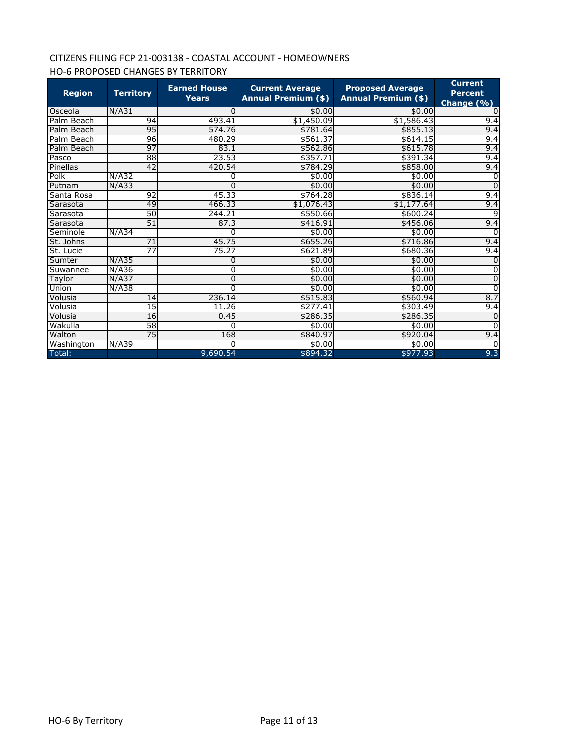# CITIZENS FILING FCP 21-003138 - COASTAL ACCOUNT - HOMEOWNERS HO-6 PROPOSED CHANGES BY TERRITORY

| <b>Region</b> | <b>Territory</b> | <b>Earned House</b><br><b>Years</b> | <b>Current Average</b><br><b>Annual Premium (\$)</b> | <b>Proposed Average</b><br><b>Annual Premium (\$)</b> | <b>Current</b><br><b>Percent</b><br>Change (%) |
|---------------|------------------|-------------------------------------|------------------------------------------------------|-------------------------------------------------------|------------------------------------------------|
| Osceola       | N/A31            |                                     | \$0.00                                               | \$0.00                                                |                                                |
| Palm Beach    | 94               | 493.41                              | \$1,450.09                                           | \$1,586.43                                            | 9.4                                            |
| Palm Beach    | 95               | 574.76                              | \$781.64                                             | \$855.13                                              | 9.4                                            |
| Palm Beach    | 96               | 480.29                              | \$561.37                                             | \$614.15                                              | 9.4                                            |
| Palm Beach    | 97               | 83.1                                | \$562.86                                             | \$615.78                                              | 9.4                                            |
| Pasco         | 88               | 23.53                               | \$357.71                                             | \$391.34                                              | 9.4                                            |
| Pinellas      | 42               | 420.54                              | \$784.29                                             | \$858.00                                              | 9.4                                            |
| Polk          | N/A32            |                                     | \$0.00                                               | \$0.00                                                | $\Omega$                                       |
| Putnam        | N/A33            | O                                   | \$0.00                                               | \$0.00                                                | $\Omega$                                       |
| Santa Rosa    | 92               | 45.33                               | \$764.28                                             | \$836.14                                              | 9.4                                            |
| Sarasota      | 49               | 466.33                              | \$1,076.43                                           | \$1,177.64                                            | 9.4                                            |
| Sarasota      | 50               | 244.21                              | \$550.66                                             | \$600.24                                              | 9                                              |
| Sarasota      | 51               | 87.3                                | \$416.91                                             | \$456.06                                              | 9.4                                            |
| Seminole      | N/A34            |                                     | \$0.00                                               | \$0.00                                                |                                                |
| St. Johns     | 71               | 45.75                               | \$655.26                                             | \$716.86                                              | 9.4                                            |
| St. Lucie     | $\overline{77}$  | 75.27                               | \$621.89                                             | \$680.36                                              | 9.4                                            |
| Sumter        | N/A35            | 0                                   | \$0.00                                               | \$0.00                                                |                                                |
| Suwannee      | N/A36            | 0                                   | \$0.00                                               | \$0.00                                                | $\Omega$                                       |
| Taylor        | N/A37            |                                     | \$0.00                                               | \$0.00                                                | 0                                              |
| Union         | N/A38            |                                     | \$0.00                                               | \$0.00                                                | $\Omega$                                       |
| Volusia       | 14               | 236.14                              | \$515.83                                             | \$560.94                                              | 8.7                                            |
| Volusia       | 15               | 11.26                               | \$277.41                                             | \$303.49                                              | 9.4                                            |
| Volusia       | 16               | 0.45                                | \$286.35                                             | \$286.35                                              | $\Omega$                                       |
| Wakulla       | 58               |                                     | \$0.00                                               | \$0.00                                                | $\overline{0}$                                 |
| Walton        | 75               | 168                                 | \$840.97                                             | \$920.04                                              | 9.4                                            |
| Washington    | N/A39            |                                     | \$0.00                                               | \$0.00                                                | <sup>0</sup>                                   |
| Total:        |                  | 9,690.54                            | \$894.32                                             | \$977.93                                              | 9.3                                            |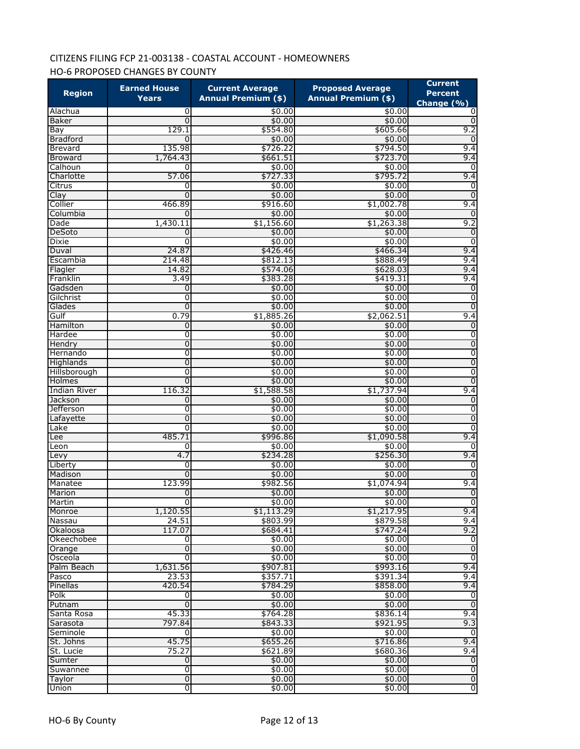# CITIZENS FILING FCP 21-003138 - COASTAL ACCOUNT - HOMEOWNERS HO-6 PROPOSED CHANGES BY COUNTY

|                     | <b>Earned House</b> | <b>Current Average</b>     | <b>Proposed Average</b>    | <b>Current</b>                   |
|---------------------|---------------------|----------------------------|----------------------------|----------------------------------|
| <b>Region</b>       | Years               | <b>Annual Premium (\$)</b> | <b>Annual Premium (\$)</b> | <b>Percent</b><br>Change $(\% )$ |
| Alachua             | 0                   | \$0.00                     | \$0.00                     | 0                                |
| Baker               | $\Omega$            | \$0.00                     | \$0.00                     | $\Omega$                         |
| Bay                 | 129.1               | \$554.80                   | \$605.66                   | 9.2                              |
| <b>Bradford</b>     | $\Omega$            | \$0.00                     | \$0.00                     | 0                                |
| <b>Brevard</b>      | 135.98              | \$726.22                   | \$794.50                   | 9.4                              |
| Broward             | 1,764.43            | \$661.51                   | \$723.70                   | 9.4                              |
| Calhoun             | 0                   | \$0.00                     | \$0.00                     | 0                                |
| Charlotte           | 57.06               | \$727.33                   | \$795.72                   | 9.4                              |
| Citrus              | 0                   | \$0.00                     | \$0.00                     | 0                                |
| Clay                | 0                   | \$0.00                     | \$0.00                     | 0                                |
| Collier             | 466.89              | \$916.60                   | \$1,002.78                 | 9.4                              |
| Columbia            | $\Omega$            | \$0.00                     | \$0.00                     | $\Omega$                         |
| Dade<br>DeSoto      | 1,430.11<br>0       | \$1,156.60<br>\$0.00       | \$1,263.38<br>\$0.00       | 9.2<br>0                         |
| Dixie               | $\Omega$            | \$0.00                     | \$0.00                     | 0                                |
| Duval               | 24.87               | \$426.46                   | \$466.34                   | 9.4                              |
| Escambia            | 214.48              | \$812.13                   | \$888.49                   | 9.4                              |
| Flagler             | 14.82               | \$574.06                   | \$628.03                   | 9.4                              |
| Franklin            | 3.49                | \$383.28                   | \$419.31                   | 9.4                              |
| Gadsden             | 0                   | \$0.00                     | \$0.00                     | 0                                |
| Gilchrist           | 0                   | \$0.00                     | \$0.00                     | $\overline{0}$                   |
| Glades              | $\Omega$            | \$0.00                     | \$0.00                     | $\overline{0}$                   |
| Gulf                | 0.79                | \$1,885.26                 | \$2,062.51                 | 9.4                              |
| Hamilton            | 0                   | \$0.00                     | \$0.00                     | $\mathbf 0$                      |
| Hardee              | 0                   | \$0.00                     | \$0.00                     | 0                                |
| Hendry              | $\mathbf 0$         | \$0.00                     | \$0.00                     | 0                                |
| Hernando            | $\mathbf{0}$        | \$0.00                     | \$0.00                     | 0                                |
| Highlands           | $\mathbf 0$         | \$0.00                     | \$0.00                     | $\overline{0}$                   |
| Hillsborough        | $\mathbf{0}$        | \$0.00                     | \$0.00                     | $\overline{0}$                   |
| Holmes              | 0                   | \$0.00                     | \$0.00                     | $\mathbf 0$                      |
| <b>Indian River</b> | 116.32              | \$1,588.58                 | \$1,737.94                 | 9.4                              |
| Jackson             | 0                   | \$0.00                     | \$0.00                     | $\mathbf 0$                      |
| <b>Jefferson</b>    | 0                   | \$0.00                     | \$0.00                     | 0                                |
| Lafayette           | 0                   | \$0.00                     | \$0.00                     | $\mathbf 0$                      |
| Lake                | $\mathbf{0}$        | \$0.00                     | \$0.00                     | 0                                |
| Lee                 | 485.71              | \$996.86                   | \$1,090.58                 | 9.4                              |
| Leon                | O                   | \$0.00                     | \$0.00                     | 0                                |
| Levy                | 4.7                 | \$234.28                   | \$256.30                   | 9.4                              |
| Liberty             | 0                   | \$0.00                     | \$0.00                     | 0                                |
| Madison             | $\Omega$<br>123.99  | \$0.00                     | \$0.00                     | 0<br>9.4                         |
| Manatee             | 0                   | \$982.56<br>\$0.00         | \$1,074.94<br>\$0.00       | $\overline{0}$                   |
| Marion<br>Martin    | $\Omega$            | \$0.00                     | \$0.00                     | Э                                |
| Monroe              | 1,120.55            | \$1,113.29                 | \$1,217.95                 | 9.4                              |
| Nassau              | 24.51               | \$803.99                   | \$879.58                   | 9.4                              |
| Okaloosa            | 117.07              | \$684.41                   | \$747.24                   | 9.2                              |
| Okeechobee          | 0                   | \$0.00                     | \$0.00                     | $\mathbf 0$                      |
| Orange              | $\mathbf 0$         | \$0.00                     | \$0.00                     | $\overline{0}$                   |
| Osceola             | $\mathbf{0}$        | \$0.00                     | \$0.00                     | $\overline{0}$                   |
| Palm Beach          | 1,631.56            | \$907.81                   | \$993.16                   | 9.4                              |
| Pasco               | 23.53               | \$357.71                   | \$391.34                   | 9.4                              |
| Pinellas            | 420.54              | \$784.29                   | \$858.00                   | 9.4                              |
| Polk                | 0                   | \$0.00                     | \$0.00                     | 0                                |
| Putnam              | $\Omega$            | \$0.00                     | \$0.00                     | $\overline{0}$                   |
| Santa Rosa          | 45.33               | \$764.28                   | \$836.14                   | 9.4                              |
| Sarasota            | 797.84              | \$843.33                   | \$921.95                   | 9.3                              |
| Seminole            | $\Omega$            | \$0.00                     | \$0.00                     | $\Omega$                         |
| St. Johns           | 45.75               | \$655.26                   | \$716.86                   | 9.4                              |
| St. Lucie           | 75.27               | \$621.89                   | \$680.36                   | 9.4                              |
| Sumter              | $\overline{0}$      | \$0.00                     | \$0.00                     | $\mathbf 0$                      |
| Suwannee            | o                   | \$0.00                     | \$0.00                     | ō                                |
| Taylor              | $\overline{0}$      | \$0.00                     | \$0.00                     | $\overline{0}$                   |
| Union               | $\overline{0}$      | \$0.00                     | \$0.00                     | $\overline{0}$                   |